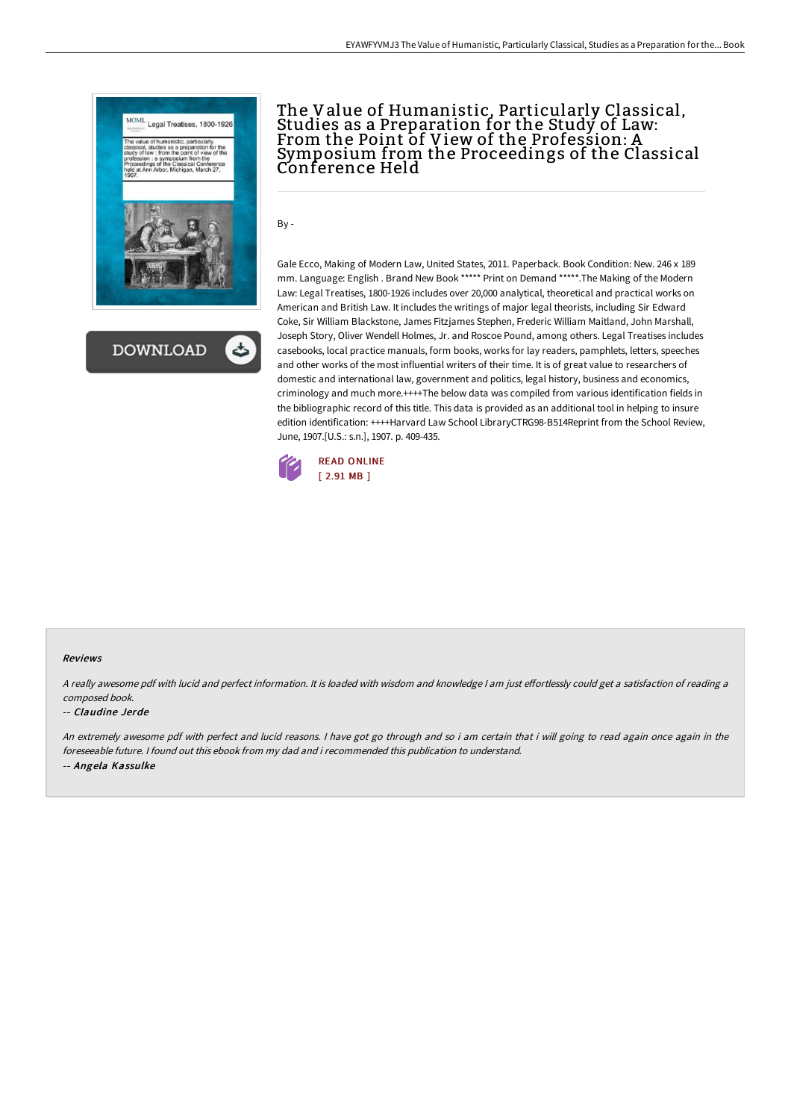



## The Value of Humanistic, Particularly Classical, Studies as a Preparation for the Study of Law: From the Point of View of the Profession: A Symposium from the Proceedings of the Classical Conference Held

By -

Gale Ecco, Making of Modern Law, United States, 2011. Paperback. Book Condition: New. 246 x 189 mm. Language: English . Brand New Book \*\*\*\*\* Print on Demand \*\*\*\*\*.The Making of the Modern Law: Legal Treatises, 1800-1926 includes over 20,000 analytical, theoretical and practical works on American and British Law. It includes the writings of major legal theorists, including Sir Edward Coke, Sir William Blackstone, James Fitzjames Stephen, Frederic William Maitland, John Marshall, Joseph Story, Oliver Wendell Holmes, Jr. and Roscoe Pound, among others. Legal Treatises includes casebooks, local practice manuals, form books, works for lay readers, pamphlets, letters, speeches and other works of the most influential writers of their time. It is of great value to researchers of domestic and international law, government and politics, legal history, business and economics, criminology and much more.++++The below data was compiled from various identification fields in the bibliographic record of this title. This data is provided as an additional tool in helping to insure edition identification: ++++Harvard Law School LibraryCTRG98-B514Reprint from the School Review, June, 1907.[U.S.: s.n.], 1907. p. 409-435.



### Reviews

A really awesome pdf with lucid and perfect information. It is loaded with wisdom and knowledge I am just effortlessly could get a satisfaction of reading a composed book.

### -- Claudine Jerde

An extremely awesome pdf with perfect and lucid reasons. <sup>I</sup> have got go through and so i am certain that i will going to read again once again in the foreseeable future. I found out this ebook from my dad and i recommended this publication to understand. -- Angela Kassulke